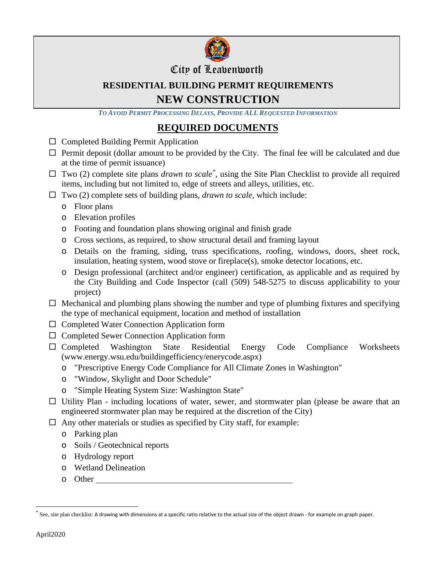

### City of Leavenworth

# **RESIDENTIAL BUILDING PERMIT REQUIREMENTS NEW CONSTRUCTION**

*TO AVOID PERMIT PROCESSING DELAYS, PROVIDE ALL REQUESTED INFORMATION*

# **REQUIRED DOCUMENTS**

- $\Box$  Completed Building Permit Application
- $\Box$  Permit deposit (dollar amount to be provided by the City. The final fee will be calculated and due at the time of permit issuance)
- $\Box$  Two (2) complete site plans *drawn to scale*<sup>[\\*](#page-0-0)</sup>, using the Site Plan Checklist to provide all required items, including but not limited to, edge of streets and alleys, utilities, etc.
- $\Box$  Two (2) complete sets of building plans, *drawn to scale*, which include:
	- o Floor plans
	- o Elevation profiles
	- o Footing and foundation plans showing original and finish grade
	- o Cross sections, as required, to show structural detail and framing layout
	- o Details on the framing, siding, truss specifications, roofing, windows, doors, sheet rock, insulation, heating system, wood stove or fireplace(s), smoke detector locations, etc.
	- o Design professional (architect and/or engineer) certification, as applicable and as required by the City Building and Code Inspector (call (509) 548-5275 to discuss applicability to your project)
- $\Box$  Mechanical and plumbing plans showing the number and type of plumbing fixtures and specifying the type of mechanical equipment, location and method of installation
- $\square$  Completed Water Connection Application form
- □ Completed Sewer Connection Application form
- Completed Washington State Residential Energy Code Compliance Worksheets (www.energy.wsu.edu/buildingefficiency/enerycode.aspx)
	- o "Prescriptive Energy Code Compliance for All Climate Zones in Washington"
	- o "Window, Skylight and Door Schedule"
	- o "Simple Heating System Size: Washington State"
- $\Box$  Utility Plan including locations of water, sewer, and stormwater plan (please be aware that an engineered stormwater plan may be required at the discretion of the City)
- $\Box$  Any other materials or studies as specified by City staff, for example:
	- o Parking plan
	- o Soils / Geotechnical reports
	- o Hydrology report
	- o Wetland Delineation
	- o Other

<span id="page-0-0"></span>See, site plan checklist: A drawing with dimensions at a specific ratio relative to the actual size of the object drawn - for example on graph paper.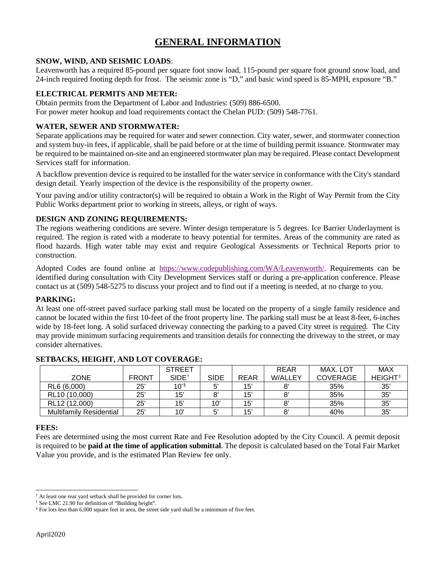## **GENERAL INFORMATION**

#### **SNOW, WIND, AND SEISMIC LOADS**:

Leavenworth has a required 85-pound per square foot snow load, 115-pound per square foot ground snow load, and 24-inch required footing depth for frost. The seismic zone is "D," and basic wind speed is 85-MPH, exposure "B."

### **ELECTRICAL PERMITS AND METER:**

Obtain permits from the Department of Labor and Industries: (509) 886-6500.

For power meter hookup and load requirements contact the Chelan PUD: (509) 548-7761.

### **WATER, SEWER AND STORMWATER:**

Separate applications may be required for water and sewer connection. City water, sewer, and stormwater connection and system buy-in fees, if applicable, shall be paid before or at the time of building permit issuance. Stormwater may be required to be maintained on-site and an engineered stormwater plan may be required. Please contact Development Services staff for information.

A backflow prevention device is required to be installed for the water service in conformance with the City's standard design detail. Yearly inspection of the device is the responsibility of the property owner.

Your paving and/or utility contractor(s) will be required to obtain a Work in the Right of Way Permit from the City Public Works department prior to working in streets, alleys, or right of ways.

#### **DESIGN AND ZONING REQUIREMENTS:**

The regions weathering conditions are severe. Winter design temperature is 5 degrees. Ice Barrier Underlayment is required. The region is rated with a moderate to heavy potential for termites. Areas of the community are rated as flood hazards. High water table may exist and require Geological Assessments or Technical Reports prior to construction.

Adopted Codes are found online at [https://www.codepublishing.com/WA/Leavenworth/.](https://www.codepublishing.com/WA/Leavenworth/) Requirements can be identified during consultation with City Development Services staff or during a pre-application conference. Please contact us at (509) 548-5275 to discuss your project and to find out if a meeting is needed, at no charge to you.

#### **PARKING:**

At least one off-street paved surface parking stall must be located on the property of a single family residence and cannot be located within the first 10-feet of the front property line. The parking stall must be at least 8-feet, 6-inches wide by 18-feet long. A solid surfaced driveway connecting the parking to a paved City street is required. The City may provide minimum surfacing requirements and transition details for connecting the driveway to the street, or may consider alternatives.

|                                |              | <b>STREET</b>            |             |             | <b>REAR</b>    | MAX. LOT        | MAX             |
|--------------------------------|--------------|--------------------------|-------------|-------------|----------------|-----------------|-----------------|
| <b>ZONE</b>                    | <b>FRONT</b> | <b>SIDE</b> <sup>†</sup> | <b>SIDE</b> | <b>REAR</b> | <b>W/ALLEY</b> | <b>COVERAGE</b> | <b>HEIGHT</b> # |
| RL6 (6,000)                    | 25'          | 10's                     | 5'          | 15'         | 8'             | 35%             | 35'             |
| RL10 (10,000)                  | 25'          | 15'                      |             | 15'         | 8'             | 35%             | $35^{\circ}$    |
| RL12 (12,000)                  | 25'          | 15'                      | 10'         | 15'         | 8'             | 35%             | $35^{\circ}$    |
| <b>Multifamily Residential</b> | 25'          | 10'                      | 5'          | 15'         | 8'             | 40%             | 35              |

### **SETBACKS, HEIGHT, AND LOT COVERAGE:**

#### **FEES:**

Fees are determined using the most current Rate and Fee Resolution adopted by the City Council. A permit deposit is required to be **paid at the time of application submittal**. The deposit is calculated based on the Total Fair Market Value you provide, and is the estimated Plan Review fee only.

<span id="page-1-0"></span><sup>†</sup> At least one rear yard setback shall be provided for corner lots.

<span id="page-1-1"></span><sup>‡</sup> See LMC 21.90 for definition of "Building height".

<span id="page-1-2"></span><sup>§</sup> For lots less than 6,000 square feet in area, the street side yard shall be a minimum of five feet.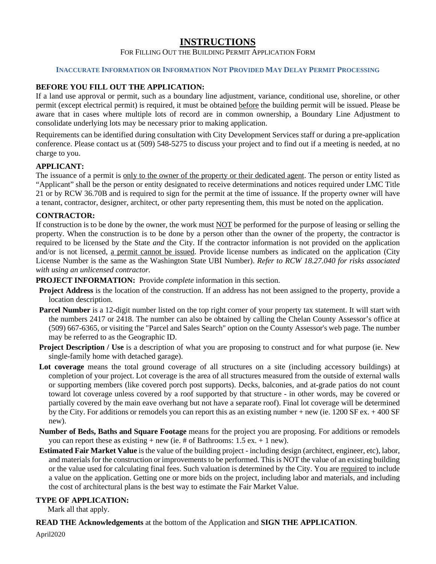### **INSTRUCTIONS**

#### FOR FILLING OUT THE BUILDING PERMIT APPLICATION FORM

#### **INACCURATE INFORMATION OR INFORMATION NOT PROVIDED MAY DELAY PERMIT PROCESSING**

#### **BEFORE YOU FILL OUT THE APPLICATION:**

If a land use approval or permit, such as a boundary line adjustment, variance, conditional use, shoreline, or other permit (except electrical permit) is required, it must be obtained before the building permit will be issued. Please be aware that in cases where multiple lots of record are in common ownership, a Boundary Line Adjustment to consolidate underlying lots may be necessary prior to making application.

Requirements can be identified during consultation with City Development Services staff or during a pre-application conference. Please contact us at (509) 548-5275 to discuss your project and to find out if a meeting is needed, at no charge to you.

#### **APPLICANT:**

The issuance of a permit is only to the owner of the property or their dedicated agent. The person or entity listed as "Applicant" shall be the person or entity designated to receive determinations and notices required under LMC Title 21 or by RCW 36.70B and is required to sign for the permit at the time of issuance. If the property owner will have a tenant, contractor, designer, architect, or other party representing them, this must be noted on the application.

#### **CONTRACTOR:**

If construction is to be done by the owner, the work must NOT be performed for the purpose of leasing or selling the property. When the construction is to be done by a person other than the owner of the property, the contractor is required to be licensed by the State *and* the City. If the contractor information is not provided on the application and/or is not licensed, a permit cannot be issued. Provide license numbers as indicated on the application (City License Number is the same as the Washington State UBI Number). *Refer to RCW 18.27.040 for risks associated with using an unlicensed contractor.*

**PROJECT INFORMATION:** Provide *complete* information in this section.

- **Project Address** is the location of the construction. If an address has not been assigned to the property, provide a location description.
- **Parcel Number** is a 12-digit number listed on the top right corner of your property tax statement. It will start with the numbers 2417 or 2418. The number can also be obtained by calling the Chelan County Assessor's office at (509) 667-6365, or visiting the "Parcel and Sales Search" option on the County Assessor's web page. The number may be referred to as the Geographic ID.
- **Project Description / Use** is a description of what you are proposing to construct and for what purpose (ie. New single-family home with detached garage).
- **Lot coverage** means the total ground coverage of all structures on a site (including accessory buildings) at completion of your project. Lot coverage is the area of all structures measured from the outside of external walls or supporting members (like covered porch post supports). Decks, balconies, and at-grade patios do not count toward lot coverage unless covered by a roof supported by that structure - in other words, may be covered or partially covered by the main eave overhang but not have a separate roof). Final lot coverage will be determined by the City. For additions or remodels you can report this as an existing number + new (ie. 1200 SF ex. + 400 SF new).
- **Number of Beds, Baths and Square Footage** means for the project you are proposing. For additions or remodels you can report these as existing  $+$  new (ie. # of Bathrooms: 1.5 ex.  $+$  1 new).
- **Estimated Fair Market Value** is the value of the building project including design (architect, engineer, etc), labor, and materials for the construction or improvements to be performed. This is NOT the value of an existing building or the value used for calculating final fees. Such valuation is determined by the City. You are required to include a value on the application. Getting one or more bids on the project, including labor and materials, and including the cost of architectural plans is the best way to estimate the Fair Market Value.

#### **TYPE OF APPLICATION:**

Mark all that apply.

**READ THE Acknowledgements** at the bottom of the Application and **SIGN THE APPLICATION**.

April2020